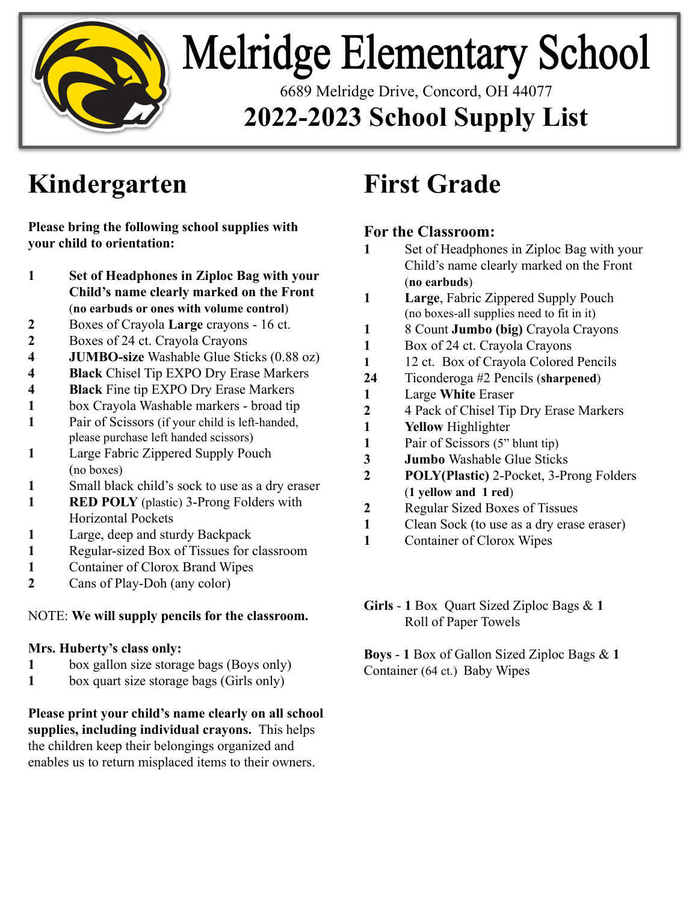

# **Melridge Elementary School**

6689 Melridge Drive, Concord, OH 44077 **2022-2023 School Supply List**

# **Kindergarten**

**Please bring the following school supplies with your child to orientation:**

- **1 Set of Headphones in Ziploc Bag with your Child's name clearly marked on the Front** (**no earbuds or ones with volume control**)
- **2** Boxes of Crayola **Large** crayons 16 ct.
- **2** Boxes of 24 ct. Crayola Crayons
- **4 JUMBO-size** Washable Glue Sticks (0.88 oz)
- **4 Black** Chisel Tip EXPO Dry Erase Markers
- **4 Black** Fine tip EXPO Dry Erase Markers
- **1** box Crayola Washable markers broad tip
- **1** Pair of Scissors (if your child is left-handed, please purchase left handed scissors)
- **1** Large Fabric Zippered Supply Pouch (no boxes)
- **1** Small black child's sock to use as a dry eraser
- **1 RED POLY** (plastic) 3-Prong Folders with Horizontal Pockets
- **1** Large, deep and sturdy Backpack
- **1** Regular-sized Box of Tissues for classroom
- **1** Container of Clorox Brand Wipes
- **2** Cans of Play-Doh (any color)

### NOTE: **We will supply pencils for the classroom.**

### **Mrs. Huberty's class only:**

- **1** box gallon size storage bags (Boys only)
- 1 box quart size storage bags (Girls only)

**Please print your child's name clearly on all school supplies, including individual crayons.** This helps the children keep their belongings organized and enables us to return misplaced items to their owners.

# **First Grade**

## **For the Classroom:**

- **1** Set of Headphones in Ziploc Bag with your Child's name clearly marked on the Front (**no earbuds**)
- **1 Large**, Fabric Zippered Supply Pouch (no boxes-all supplies need to fit in it)
- **1** 8 Count **Jumbo (big)** Crayola Crayons
- **1** Box of 24 ct. Crayola Crayons
- **1** 12 ct. Box of Crayola Colored Pencils
- **24** Ticonderoga #2 Pencils (**sharpened**)
- **1** Large **White** Eraser
- **2** 4 Pack of Chisel Tip Dry Erase Markers
- **1 Yellow** Highlighter
- **1** Pair of Scissors (5" blunt tip)
- **3 Jumbo** Washable Glue Sticks
- **2 POLY(Plastic)** 2-Pocket, 3-Prong Folders (**1 yellow and 1 red**)
- **2** Regular Sized Boxes of Tissues
- **1** Clean Sock (to use as a dry erase eraser)
- **1** Container of Clorox Wipes

### **Girls** - **1** Box Quart Sized Ziploc Bags & **1**  Roll of Paper Towels

**Boys** - **1** Box of Gallon Sized Ziploc Bags & **1**  Container (64 ct.) Baby Wipes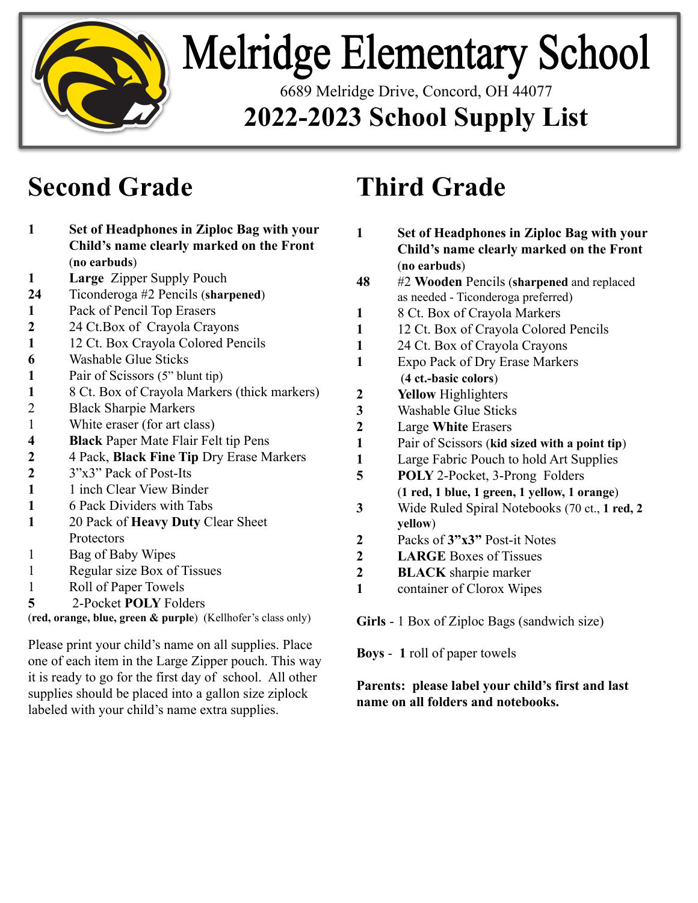

# **Melridge Elementary School**

6689 Melridge Drive, Concord, OH 44077

## **2022-2023 School Supply List**

## **Second Grade**

| 1                                                            | Set of Headphones in Ziploc Bag with your    |  |
|--------------------------------------------------------------|----------------------------------------------|--|
|                                                              | Child's name clearly marked on the Front     |  |
|                                                              | (no earbuds)                                 |  |
| 1                                                            | <b>Large Zipper Supply Pouch</b>             |  |
| 24                                                           | Ticonderoga #2 Pencils (sharpened)           |  |
| $\mathbf{1}$                                                 | Pack of Pencil Top Erasers                   |  |
| $\overline{2}$                                               | 24 Ct. Box of Crayola Crayons                |  |
| $\mathbf{1}$                                                 | 12 Ct. Box Crayola Colored Pencils           |  |
| 6                                                            | <b>Washable Glue Sticks</b>                  |  |
| $\mathbf{1}$                                                 | Pair of Scissors (5" blunt tip)              |  |
| 1                                                            | 8 Ct. Box of Crayola Markers (thick markers) |  |
| $\overline{2}$                                               | <b>Black Sharpie Markers</b>                 |  |
| $\mathbf{1}$                                                 | White eraser (for art class)                 |  |
| $\overline{\mathbf{4}}$                                      | <b>Black</b> Paper Mate Flair Felt tip Pens  |  |
| $\boldsymbol{2}$                                             | 4 Pack, Black Fine Tip Dry Erase Markers     |  |
| $\overline{2}$                                               | 3"x3" Pack of Post-Its                       |  |
| $\mathbf{1}$                                                 | 1 inch Clear View Binder                     |  |
| $\mathbf{1}$                                                 | 6 Pack Dividers with Tabs                    |  |
| 1                                                            | 20 Pack of Heavy Duty Clear Sheet            |  |
|                                                              | Protectors                                   |  |
| 1                                                            | Bag of Baby Wipes                            |  |
| 1                                                            | Regular size Box of Tissues                  |  |
| 1                                                            | Roll of Paper Towels                         |  |
| 5                                                            | 2-Pocket POLY Folders                        |  |
| (red, orange, blue, green & purple) (Kellhofer's class only) |                                              |  |

Please print your child's name on all supplies. Place one of each item in the Large Zipper pouch. This way it is ready to go for the first day of school. All other supplies should be placed into a gallon size ziplock labeled with your child's name extra supplies.

## **Third Grade**

| 1                | Set of Headphones in Ziploc Bag with your<br>Child's name clearly marked on the Front |
|------------------|---------------------------------------------------------------------------------------|
|                  | (no earbuds)                                                                          |
| 48               | #2 Wooden Pencils (sharpened and replaced<br>as needed - Ticonderoga preferred)       |
| 1                | 8 Ct. Box of Crayola Markers                                                          |
| 1                | 12 Ct. Box of Crayola Colored Pencils                                                 |
| 1                | 24 Ct. Box of Crayola Crayons                                                         |
| 1                | <b>Expo Pack of Dry Erase Markers</b>                                                 |
|                  | (4 ct.-basic colors)                                                                  |
| 2                | <b>Yellow</b> Highlighters                                                            |
| $\mathbf{3}$     | <b>Washable Glue Sticks</b>                                                           |
| $\overline{2}$   | Large White Erasers                                                                   |
| 1                | Pair of Scissors (kid sized with a point tip)                                         |
| 1                | Large Fabric Pouch to hold Art Supplies                                               |
| 5                | <b>POLY</b> 2-Pocket, 3-Prong Folders                                                 |
|                  | (1 red, 1 blue, 1 green, 1 yellow, 1 orange)                                          |
| 3                | Wide Ruled Spiral Notebooks (70 ct., 1 red, 2<br>yellow)                              |
| 2                | Packs of 3"x3" Post-it Notes                                                          |
| $\boldsymbol{2}$ | <b>LARGE Boxes of Tissues</b>                                                         |
| $\overline{2}$   | <b>BLACK</b> sharpie marker                                                           |
| 1                | container of Clorox Wipes                                                             |
|                  |                                                                                       |

**Girls** - 1 Box of Ziploc Bags (sandwich size)

**Boys** - **1** roll of paper towels

### **Parents: please label your child's first and last name on all folders and notebooks.**